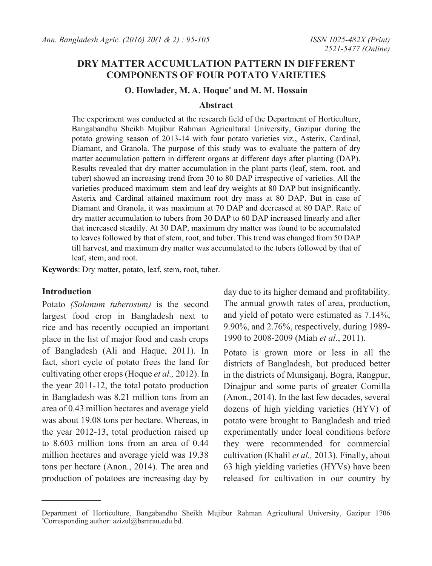# **DRY MATTER ACCUMULATION PATTERN IN DIFFERENT COMPONENTS OF FOUR POTATO VARIETIES**

#### **O. Howlader, M. A. Hoque\* and M. M. Hossain**

#### **Abstract**

The experiment was conducted at the research field of the Department of Horticulture, Bangabandhu Sheikh Mujibur Rahman Agricultural University, Gazipur during the potato growing season of 2013-14 with four potato varieties viz., Asterix, Cardinal, Diamant, and Granola. The purpose of this study was to evaluate the pattern of dry matter accumulation pattern in different organs at different days after planting (DAP). Results revealed that dry matter accumulation in the plant parts (leaf, stem, root, and tuber) showed an increasing trend from 30 to 80 DAP irrespective of varieties. All the varieties produced maximum stem and leaf dry weights at 80 DAP but insignificantly. Asterix and Cardinal attained maximum root dry mass at 80 DAP. But in case of Diamant and Granola, it was maximum at 70 DAP and decreased at 80 DAP. Rate of dry matter accumulation to tubers from 30 DAP to 60 DAP increased linearly and after that increased steadily. At 30 DAP, maximum dry matter was found to be accumulated to leaves followed by that of stem, root, and tuber. This trend was changed from 50 DAP till harvest, and maximum dry matter was accumulated to the tubers followed by that of leaf, stem, and root.

**Keywords**: Dry matter, potato, leaf, stem, root, tuber.

#### **Introduction**

Potato *(Solanum tuberosum)* is the second largest food crop in Bangladesh next to rice and has recently occupied an important place in the list of major food and cash crops of Bangladesh (Ali and Haque, 2011). In fact, short cycle of potato frees the land for cultivating other crops (Hoque *et al.,* 2012). In the year 2011-12, the total potato production in Bangladesh was 8.21 million tons from an area of 0.43 million hectares and average yield was about 19.08 tons per hectare. Whereas, in the year 2012-13, total production raised up to 8.603 million tons from an area of 0.44 million hectares and average yield was 19.38 tons per hectare (Anon., 2014). The area and production of potatoes are increasing day by

day due to its higher demand and profitability. The annual growth rates of area, production, and yield of potato were estimated as 7.14%, 9.90%, and 2.76%, respectively, during 1989- 1990 to 2008-2009 (Miah *et al*., 2011).

Potato is grown more or less in all the districts of Bangladesh, but produced better in the districts of Munsiganj, Bogra, Rangpur, Dinajpur and some parts of greater Comilla (Anon., 2014). In the last few decades, several dozens of high yielding varieties (HYV) of potato were brought to Bangladesh and tried experimentally under local conditions before they were recommended for commercial cultivation (Khalil *et al.,* 2013). Finally, about 63 high yielding varieties (HYVs) have been released for cultivation in our country by

Department of Horticulture, Bangabandhu Sheikh Mujibur Rahman Agricultural University, Gazipur 1706 \* Corresponding author: azizul@bsmrau.edu.bd.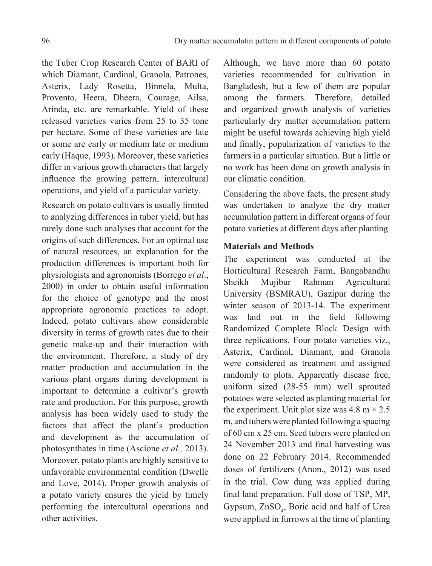the Tuber Crop Research Center of BARI of which Diamant, Cardinal, Granola, Patrones, Asterix, Lady Rosetta, Binnela, Multa, Provento, Heera, Dheera, Courage, Ailsa, Arinda, etc. are remarkable. Yield of these released varieties varies from 25 to 35 tone per hectare. Some of these varieties are late or some are early or medium late or medium early (Haque, 1993). Moreover, these varieties differ in various growth characters that largely influence the growing pattern, intercultural operations, and yield of a particular variety.

Research on potato cultivars is usually limited to analyzing differences in tuber yield, but has rarely done such analyses that account for the origins of such differences. For an optimal use of natural resources, an explanation for the production differences is important both for physiologists and agronomists (Borrego *et al*., 2000) in order to obtain useful information for the choice of genotype and the most appropriate agronomic practices to adopt. Indeed, potato cultivars show considerable diversity in terms of growth rates due to their genetic make-up and their interaction with the environment. Therefore, a study of dry matter production and accumulation in the various plant organs during development is important to determine a cultivar's growth rate and production. For this purpose, growth analysis has been widely used to study the factors that affect the plant's production and development as the accumulation of photosynthates in time (Ascione *et al.,* 2013). Moreover, potato plants are highly sensitive to unfavorable environmental condition (Dwelle and Love, 2014). Proper growth analysis of a potato variety ensures the yield by timely performing the intercultural operations and other activities.

Although, we have more than 60 potato varieties recommended for cultivation in Bangladesh, but a few of them are popular among the farmers. Therefore, detailed and organized growth analysis of varieties particularly dry matter accumulation pattern might be useful towards achieving high yield and finally, popularization of varieties to the farmers in a particular situation. But a little or no work has been done on growth analysis in our climatic condition.

Considering the above facts, the present study was undertaken to analyze the dry matter accumulation pattern in different organs of four potato varieties at different days after planting.

## **Materials and Methods**

The experiment was conducted at the Horticultural Research Farm, Bangabandhu Sheikh Mujibur Rahman Agricultural University (BSMRAU), Gazipur during the winter season of 2013-14. The experiment was laid out in the field following Randomized Complete Block Design with three replications. Four potato varieties viz., Asterix, Cardinal, Diamant, and Granola were considered as treatment and assigned randomly to plots. Apparently disease free, uniform sized (28-55 mm) well sprouted potatoes were selected as planting material for the experiment. Unit plot size was  $4.8 \text{ m} \times 2.5$ m, and tubers were planted following a spacing of 60 cm x 25 cm. Seed tubers were planted on 24 November 2013 and final harvesting was done on 22 February 2014. Recommended doses of fertilizers (Anon., 2012) was used in the trial. Cow dung was applied during final land preparation. Full dose of TSP, MP, Gypsum, ZnSO<sub>4</sub>, Boric acid and half of Urea were applied in furrows at the time of planting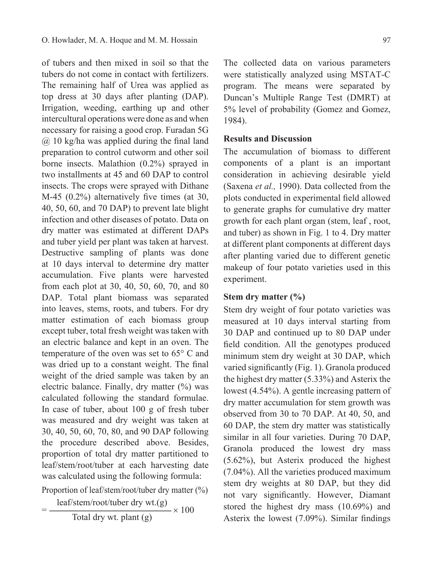of tubers and then mixed in soil so that the tubers do not come in contact with fertilizers. The remaining half of Urea was applied as top dress at 30 days after planting (DAP). Irrigation, weeding, earthing up and other intercultural operations were done as and when necessary for raising a good crop. Furadan 5G @ 10 kg/ha was applied during the final land preparation to control cutworm and other soil borne insects. Malathion (0.2%) sprayed in two installments at 45 and 60 DAP to control insects. The crops were sprayed with Dithane M-45 (0.2%) alternatively five times (at 30, 40, 50, 60, and 70 DAP) to prevent late blight infection and other diseases of potato. Data on dry matter was estimated at different DAPs and tuber yield per plant was taken at harvest. Destructive sampling of plants was done at 10 days interval to determine dry matter accumulation. Five plants were harvested from each plot at 30, 40, 50, 60, 70, and 80 DAP. Total plant biomass was separated into leaves, stems, roots, and tubers. For dry matter estimation of each biomass group except tuber, total fresh weight was taken with an electric balance and kept in an oven. The temperature of the oven was set to 65° C and was dried up to a constant weight. The final weight of the dried sample was taken by an electric balance. Finally, dry matter  $(\%)$  was calculated following the standard formulae. In case of tuber, about 100 g of fresh tuber was measured and dry weight was taken at 30, 40, 50, 60, 70, 80, and 90 DAP following the procedure described above. Besides, proportion of total dry matter partitioned to leaf/stem/root/tuber at each harvesting date was calculated using the following formula:

Proportion of leaf/stem/root/tuber dry matter  $(\frac{9}{6})$ 

leaf/stem/root/tuber dry wt.(g)  $=\frac{1}{\sqrt{2}}\times 100$ 

Total dry wt. plant (g)

The collected data on various parameters were statistically analyzed using MSTAT-C program. The means were separated by Duncan's Multiple Range Test (DMRT) at 5% level of probability (Gomez and Gomez, 1984).

#### **Results and Discussion**

The accumulation of biomass to different components of a plant is an important consideration in achieving desirable yield (Saxena *et al.,* 1990). Data collected from the plots conducted in experimental field allowed to generate graphs for cumulative dry matter growth for each plant organ (stem, leaf , root, and tuber) as shown in Fig. 1 to 4. Dry matter at different plant components at different days after planting varied due to different genetic makeup of four potato varieties used in this experiment.

### **Stem dry matter (%)**

Stem dry weight of four potato varieties was measured at 10 days interval starting from 30 DAP and continued up to 80 DAP under field condition. All the genotypes produced minimum stem dry weight at 30 DAP, which varied significantly (Fig. 1). Granola produced the highest dry matter (5.33%) and Asterix the lowest (4.54%). A gentle increasing pattern of dry matter accumulation for stem growth was observed from 30 to 70 DAP. At 40, 50, and 60 DAP, the stem dry matter was statistically similar in all four varieties. During 70 DAP, Granola produced the lowest dry mass (5.62%), but Asterix produced the highest (7.04%). All the varieties produced maximum stem dry weights at 80 DAP, but they did not vary significantly. However, Diamant stored the highest dry mass (10.69%) and Asterix the lowest (7.09%). Similar findings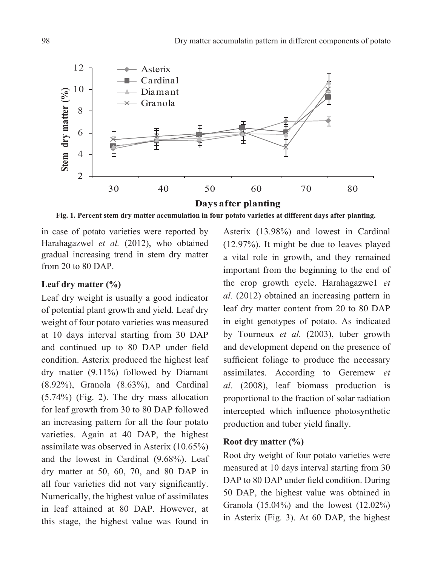

**Fig. 1. Percent stem dry matter accumulation in four potato varieties at different days after planting.**

in case of potato varieties were reported by Harahagazwel *et al.* (2012), who obtained gradual increasing trend in stem dry matter from 20 to 80 DAP.

## **Leaf dry matter (%)**

Leaf dry weight is usually a good indicator of potential plant growth and yield. Leaf dry weight of four potato varieties was measured at 10 days interval starting from 30 DAP and continued up to 80 DAP under field condition. Asterix produced the highest leaf dry matter (9.11%) followed by Diamant (8.92%), Granola (8.63%), and Cardinal (5.74%) (Fig. 2). The dry mass allocation for leaf growth from 30 to 80 DAP followed an increasing pattern for all the four potato varieties. Again at 40 DAP, the highest assimilate was observed in Asterix (10.65%) and the lowest in Cardinal (9.68%). Leaf dry matter at 50, 60, 70, and 80 DAP in all four varieties did not vary significantly. Numerically, the highest value of assimilates in leaf attained at 80 DAP. However, at this stage, the highest value was found in

Asterix (13.98%) and lowest in Cardinal (12.97%). It might be due to leaves played a vital role in growth, and they remained important from the beginning to the end of the crop growth cycle. Harahagazwe1 *et al.* (2012) obtained an increasing pattern in leaf dry matter content from 20 to 80 DAP in eight genotypes of potato. As indicated by Tourneux *et al.* (2003), tuber growth and development depend on the presence of sufficient foliage to produce the necessary assimilates. According to Geremew *et al*. (2008), leaf biomass production is proportional to the fraction of solar radiation intercepted which influence photosynthetic production and tuber yield finally.

#### **Root dry matter (%)**

Root dry weight of four potato varieties were measured at 10 days interval starting from 30 DAP to 80 DAP under field condition. During 50 DAP, the highest value was obtained in Granola (15.04%) and the lowest (12.02%) in Asterix (Fig. 3). At 60 DAP, the highest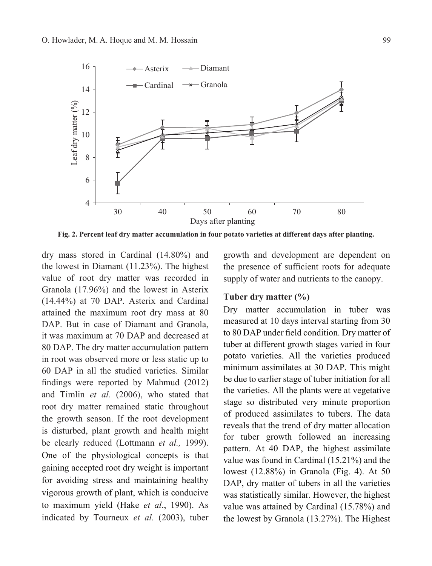

**Fig. 2. Percent leaf dry matter accumulation in four potato varieties at different days after planting.**

dry mass stored in Cardinal (14.80%) and the lowest in Diamant (11.23%). The highest value of root dry matter was recorded in Granola (17.96%) and the lowest in Asterix (14.44%) at 70 DAP. Asterix and Cardinal attained the maximum root dry mass at 80 DAP. But in case of Diamant and Granola. it was maximum at 70 DAP and decreased at 80 DAP. The dry matter accumulation pattern in root was observed more or less static up to 60 DAP in all the studied varieties. Similar findings were reported by Mahmud (2012) and Timlin *et al.* (2006), who stated that root dry matter remained static throughout the growth season. If the root development is disturbed, plant growth and health might be clearly reduced (Lottmann *et al.,* 1999). One of the physiological concepts is that gaining accepted root dry weight is important for avoiding stress and maintaining healthy vigorous growth of plant, which is conducive to maximum yield (Hake *et al*., 1990). As indicated by Tourneux *et al.* (2003), tuber

growth and development are dependent on the presence of sufficient roots for adequate supply of water and nutrients to the canopy.

### **Tuber dry matter (%)**

Dry matter accumulation in tuber was measured at 10 days interval starting from 30 to 80 DAP under field condition. Dry matter of tuber at different growth stages varied in four potato varieties. All the varieties produced minimum assimilates at 30 DAP. This might be due to earlier stage of tuber initiation for all the varieties. All the plants were at vegetative stage so distributed very minute proportion of produced assimilates to tubers. The data reveals that the trend of dry matter allocation for tuber growth followed an increasing pattern. At 40 DAP, the highest assimilate value was found in Cardinal (15.21%) and the lowest (12.88%) in Granola (Fig. 4). At 50 DAP, dry matter of tubers in all the varieties was statistically similar. However, the highest value was attained by Cardinal (15.78%) and the lowest by Granola (13.27%). The Highest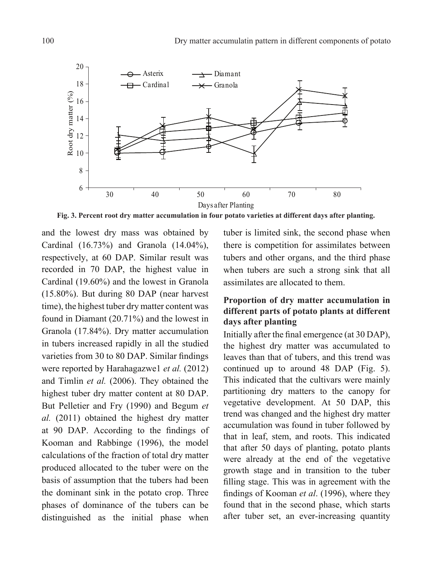

**Fig. 3. Percent root dry matter accumulation in four potato varieties at different days after planting.**

and the lowest dry mass was obtained by Cardinal (16.73%) and Granola (14.04%), respectively, at 60 DAP. Similar result was recorded in 70 DAP, the highest value in Cardinal (19.60%) and the lowest in Granola (15.80%). But during 80 DAP (near harvest time), the highest tuber dry matter content was found in Diamant (20.71%) and the lowest in Granola (17.84%). Dry matter accumulation in tubers increased rapidly in all the studied varieties from 30 to 80 DAP. Similar findings were reported by Harahagazwe1 *et al.* (2012) and Timlin *et al.* (2006). They obtained the highest tuber dry matter content at 80 DAP. But Pelletier and Fry (1990) and Begum *et al.* (2011) obtained the highest dry matter at 90 DAP. According to the findings of Kooman and Rabbinge (1996), the model calculations of the fraction of total dry matter produced allocated to the tuber were on the basis of assumption that the tubers had been the dominant sink in the potato crop. Three phases of dominance of the tubers can be distinguished as the initial phase when

tuber is limited sink, the second phase when there is competition for assimilates between tubers and other organs, and the third phase when tubers are such a strong sink that all assimilates are allocated to them.

# **Proportion of dry matter accumulation in different parts of potato plants at different days after planting**

Initially after the final emergence (at 30 DAP), the highest dry matter was accumulated to leaves than that of tubers, and this trend was continued up to around 48 DAP (Fig. 5). This indicated that the cultivars were mainly partitioning dry matters to the canopy for vegetative development. At 50 DAP, this trend was changed and the highest dry matter accumulation was found in tuber followed by that in leaf, stem, and roots. This indicated that after 50 days of planting, potato plants were already at the end of the vegetative growth stage and in transition to the tuber filling stage. This was in agreement with the findings of Kooman *et al*. (1996), where they found that in the second phase, which starts after tuber set, an ever-increasing quantity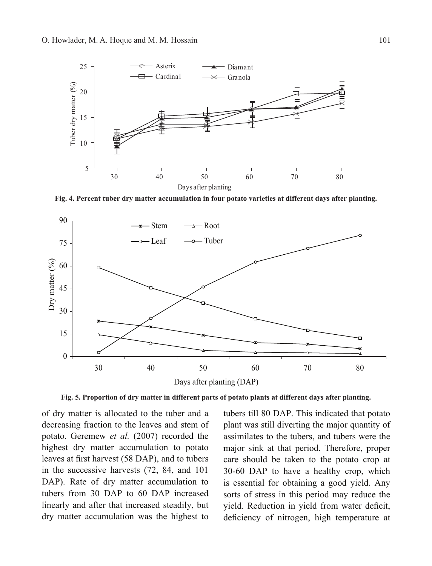

**Fig. 4. Percent tuber dry matter accumulation in four potato varieties at different days after planting.**



**Fig. 5. Proportion of dry matter in different parts of potato plants at different days after planting.**

of dry matter is allocated to the tuber and a decreasing fraction to the leaves and stem of potato. Geremew *et al.* (2007) recorded the highest dry matter accumulation to potato leaves at first harvest (58 DAP), and to tubers in the successive harvests (72, 84, and 101 DAP). Rate of dry matter accumulation to tubers from 30 DAP to 60 DAP increased linearly and after that increased steadily, but dry matter accumulation was the highest to

tubers till 80 DAP. This indicated that potato plant was still diverting the major quantity of assimilates to the tubers, and tubers were the major sink at that period. Therefore, proper care should be taken to the potato crop at 30-60 DAP to have a healthy crop, which is essential for obtaining a good yield. Any sorts of stress in this period may reduce the yield. Reduction in yield from water deficit, deficiency of nitrogen, high temperature at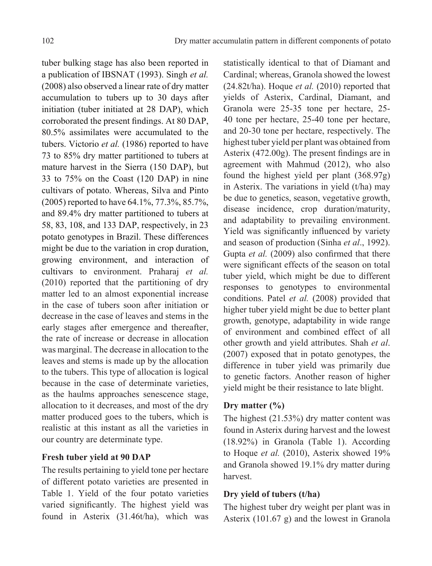tuber bulking stage has also been reported in a publication of IBSNAT (1993). Singh *et al.* (2008) also observed a linear rate of dry matter accumulation to tubers up to 30 days after initiation (tuber initiated at 28 DAP), which corroborated the present findings. At 80 DAP, 80.5% assimilates were accumulated to the tubers. Victorio *et al.* (1986) reported to have 73 to 85% dry matter partitioned to tubers at mature harvest in the Sierra (150 DAP), but 33 to 75% on the Coast (120 DAP) in nine cultivars of potato. Whereas, Silva and Pinto (2005) reported to have 64.1%, 77.3%, 85.7%, and 89.4% dry matter partitioned to tubers at 58, 83, 108, and 133 DAP, respectively, in 23 potato genotypes in Brazil. These differences might be due to the variation in crop duration, growing environment, and interaction of cultivars to environment. Praharaj *et al.* (2010) reported that the partitioning of dry matter led to an almost exponential increase in the case of tubers soon after initiation or decrease in the case of leaves and stems in the early stages after emergence and thereafter, the rate of increase or decrease in allocation was marginal. The decrease in allocation to the leaves and stems is made up by the allocation to the tubers. This type of allocation is logical because in the case of determinate varieties, as the haulms approaches senescence stage, allocation to it decreases, and most of the dry matter produced goes to the tubers, which is realistic at this instant as all the varieties in our country are determinate type.

### **Fresh tuber yield at 90 DAP**

The results pertaining to yield tone per hectare of different potato varieties are presented in Table 1. Yield of the four potato varieties varied significantly. The highest yield was found in Asterix (31.46t/ha), which was

statistically identical to that of Diamant and Cardinal; whereas, Granola showed the lowest (24.82t/ha). Hoque *et al.* (2010) reported that yields of Asterix, Cardinal, Diamant, and Granola were 25-35 tone per hectare, 25- 40 tone per hectare, 25-40 tone per hectare, and 20-30 tone per hectare, respectively. The highest tuber yield per plant was obtained from Asterix (472.00g). The present findings are in agreement with Mahmud (2012), who also found the highest yield per plant (368.97g) in Asterix. The variations in yield (t/ha) may be due to genetics, season, vegetative growth, disease incidence, crop duration/maturity, and adaptability to prevailing environment. Yield was significantly influenced by variety and season of production (Sinha *et al*., 1992). Gupta *et al.* (2009) also confirmed that there were significant effects of the season on total tuber yield, which might be due to different responses to genotypes to environmental conditions. Patel *et al.* (2008) provided that higher tuber yield might be due to better plant growth, genotype, adaptability in wide range of environment and combined effect of all other growth and yield attributes. Shah *et al*. (2007) exposed that in potato genotypes, the difference in tuber yield was primarily due to genetic factors. Another reason of higher yield might be their resistance to late blight.

### **Dry matter (%)**

The highest (21.53%) dry matter content was found in Asterix during harvest and the lowest (18.92%) in Granola (Table 1). According to Hoque *et al.* (2010), Asterix showed 19% and Granola showed 19.1% dry matter during harvest.

## **Dry yield of tubers (t/ha)**

The highest tuber dry weight per plant was in Asterix (101.67 g) and the lowest in Granola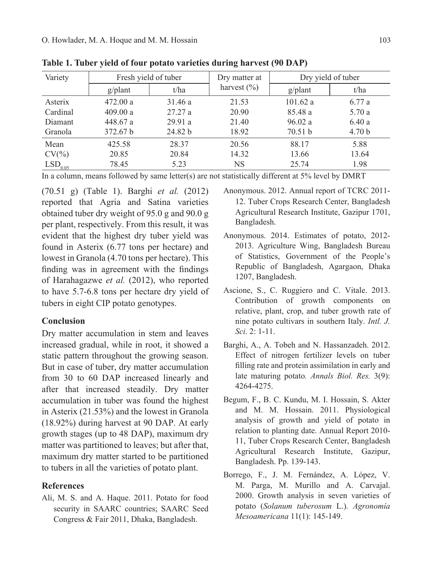| Variety             | Fresh yield of tuber |         | Dry matter at   | Dry yield of tuber |                   |
|---------------------|----------------------|---------|-----------------|--------------------|-------------------|
|                     | $g$ /plant           | t/ha    | harvest $(\% )$ | g/plant            | t/ha              |
| Asterix             | 472.00 a             | 31.46a  | 21.53           | 101.62a            | 6.77 a            |
| Cardinal            | 409.00 a             | 27.27a  | 20.90           | 85.48 a            | 5.70 a            |
| Diamant             | 448.67 a             | 29.91a  | 21.40           | 96.02a             | 6.40a             |
| Granola             | 372.67 b             | 24.82 b | 18.92           | 70.51 b            | 4.70 <sub>b</sub> |
| Mean                | 425.58               | 28.37   | 20.56           | 88.17              | 5.88              |
| $CV(\% )$           | 20.85                | 20.84   | 14.32           | 13.66              | 13.64             |
| LSD <sub>0.05</sub> | 78.45                | 5.23    | NS.             | 25.74              | 1.98              |

**Table 1. Tuber yield of four potato varieties during harvest (90 DAP)**

In a column, means followed by same letter(s) are not statistically different at 5% level by DMRT

(70.51 g) (Table 1). Barghi *et al.* (2012) reported that Agria and Satina varieties obtained tuber dry weight of 95.0 g and 90.0 g per plant, respectively. From this result, it was evident that the highest dry tuber yield was found in Asterix (6.77 tons per hectare) and lowest in Granola (4.70 tons per hectare). This finding was in agreement with the findings of Harahagazwe *et al.* (2012), who reported to have 5.7-6.8 tons per hectare dry yield of tubers in eight CIP potato genotypes.

#### **Conclusion**

Dry matter accumulation in stem and leaves increased gradual, while in root, it showed a static pattern throughout the growing season. But in case of tuber, dry matter accumulation from 30 to 60 DAP increased linearly and after that increased steadily. Dry matter accumulation in tuber was found the highest in Asterix (21.53%) and the lowest in Granola (18.92%) during harvest at 90 DAP. At early growth stages (up to 48 DAP), maximum dry matter was partitioned to leaves; but after that, maximum dry matter started to be partitioned to tubers in all the varieties of potato plant.

#### **References**

Ali, M. S. and A. Haque. 2011. Potato for food security in SAARC countries; SAARC Seed Congress & Fair 2011, Dhaka, Bangladesh.

- Anonymous. 2012. Annual report of TCRC 2011- 12. Tuber Crops Research Center, Bangladesh Agricultural Research Institute, Gazipur 1701, Bangladesh.
- Anonymous. 2014. Estimates of potato, 2012- 2013. Agriculture Wing, Bangladesh Bureau of Statistics, Government of the People's Republic of Bangladesh, Agargaon, Dhaka 1207, Bangladesh.
- Ascione, S., C. Ruggiero and C. Vitale. 2013. Contribution of growth components on relative, plant, crop, and tuber growth rate of nine potato cultivars in southern Italy. *Intl. J. Sci*. 2: 1-11.
- Barghi, A., A. Tobeh and N. Hassanzadeh. 2012. Effect of nitrogen fertilizer levels on tuber filling rate and protein assimilation in early and late maturing potato*. Annals Biol. Res.* 3(9): 4264-4275.
- Begum, F., B. C. Kundu, M. I. Hossain, S. Akter and M. M. Hossain. 2011. Physiological analysis of growth and yield of potato in relation to planting date. Annual Report 2010- 11, Tuber Crops Research Center, Bangladesh Agricultural Research Institute, Gazipur, Bangladesh. pp. 139-143.
- Borrego, F., J. M. Fernández, A. López, V. M. Parga, M. Murillo and A. Carvajal. 2000. Growth analysis in seven varieties of potato (*Solanum tuberosum* L.). *Agronomía Mesoamericana* 11(1): 145-149.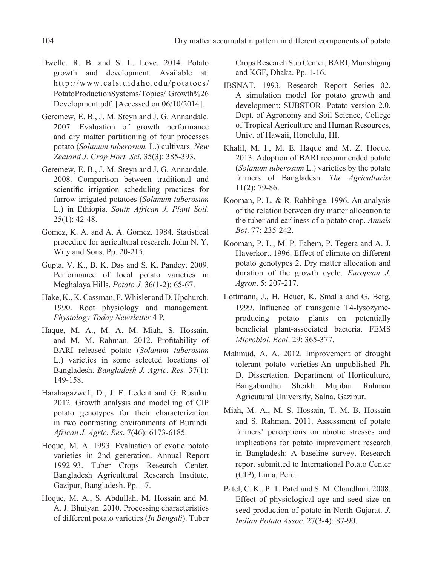- Dwelle, R. B. and S. L. Love. 2014. Potato growth and development. Available at: http://www.cals.uidaho.edu/potatoes/ PotatoProductionSystems/Topics/ Growth%26 Development.pdf. [Accessed on 06/10/2014].
- Geremew, E. B., J. M. Steyn and J. G. Annandale. 2007. Evaluation of growth performance and dry matter partitioning of four processes potato (*Solanum tuberosum.* L.) cultivars. *New Zealand J. Crop Hort. Sci*. 35(3): 385-393.
- Geremew, E. B., J. M. Steyn and J. G. Annandale. 2008. Comparison between traditional and scientific irrigation scheduling practices for furrow irrigated potatoes (*Solanum tuberosum* L.) in Ethiopia. *South African J. Plant Soil*. 25(1): 42-48.
- Gomez, K. A. and A. A. Gomez. 1984. Statistical procedure for agricultural research. John N. Y, Wily and Sons, Pp. 20-215.
- Gupta, V. K., B. K. Das and S. K. Pandey. 2009. Performance of local potato varieties in Meghalaya Hills. *Potato J.* 36(1-2): 65-67.
- Hake, K., K. Cassman, F. Whisler and D. Upchurch. 1990. Root physiology and management. *Physiology Today Newsletter* 4 P.
- Haque, M. A., M. A. M. Miah, S. Hossain, and M. M. Rahman. 2012. Profitability of BARI released potato (*Solanum tuberosum* L.) varieties in some selected locations of Bangladesh. *Bangladesh J. Agric. Res.* 37(1): 149-158.
- Harahagazwe1, D., J. F. Ledent and G. Rusuku. 2012. Growth analysis and modelling of CIP potato genotypes for their characterization in two contrasting environments of Burundi. *African J. Agric. Res*. 7(46): 6173-6185.
- Hoque, M. A. 1993. Evaluation of exotic potato varieties in 2nd generation. Annual Report 1992-93. Tuber crops Research Center, Bangladesh Agricultural Research Institute, Gazipur, Bangladesh. Pp.1-7.
- Hoque, M. A., S. Abdullah, M. Hossain and M. A. J. Bhuiyan. 2010. Processing characteristics of different potato varieties (*In Bengali*). Tuber

Crops Research Sub Center, BARI, Munshiganj and KGF, Dhaka. Pp. 1-16.

- IBSNAT. 1993. Research Report Series 02. A simulation model for potato growth and development: SUBSTOR- Potato version 2.0. Dept. of Agronomy and Soil Science, College of Tropical Agriculture and Human Resources, Univ. of Hawaii, Honolulu, HI.
- Khalil, M. I., M. E. Haque and M. Z. Hoque. 2013. Adoption of BARI recommended potato (*Solanum tuberosum* L.) varieties by the potato farmers of Bangladesh. *The Agriculturist* 11(2): 79-86.
- Kooman, P. L. & R. Rabbinge. 1996. An analysis of the relation between dry matter allocation to the tuber and earliness of a potato crop. *Annals Bot*. 77: 235-242.
- Kooman, P. L., M. P. Fahem, P. Tegera and A. J. Haverkort. 1996. Effect of climate on different potato genotypes 2. Dry matter allocation and duration of the growth cycle. *European J. Agron*. 5: 207-217.
- Lottmann, J., H. Heuer, K. Smalla and G. Berg. 1999. Influence of transgenic T4-lysozymeproducing potato plants on potentially beneficial plant-associated bacteria. FEMS *Microbiol. Ecol*. 29: 365-377.
- Mahmud, A. A. 2012. Improvement of drought tolerant potato varieties-An unpublished Ph. D. Dissertation. Department of Horticulture, Bangabandhu Sheikh Mujibur Rahman Agricutural University, Salna, Gazipur.
- Miah, M. A., M. S. Hossain, T. M. B. Hossain and S. Rahman. 2011. Assessment of potato farmers' perceptions on abiotic stresses and implications for potato improvement research in Bangladesh: A baseline survey. Research report submitted to International Potato Center (CIP), Lima, Peru.
- Patel, C. K., P. T. Patel and S. M. Chaudhari. 2008. Effect of physiological age and seed size on seed production of potato in North Gujarat. *J. Indian Potato Assoc*. 27(3-4): 87-90.